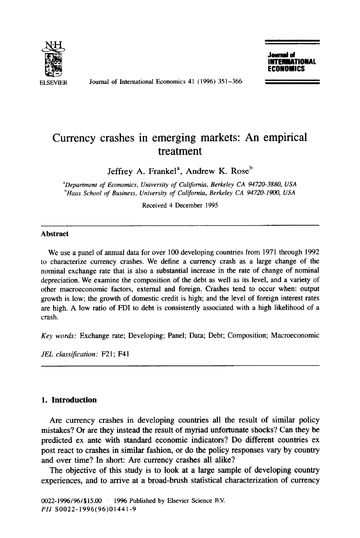

Journal of International Economics 41 (1996) 351-366

**Journal** of I<del>II TEMPA</del>T ECOWOMICS

# Currency crashes in emerging markets: An empirical treatment

Jeffrey A. Frankel<sup>a</sup>, Andrew K. Rose<sup>b</sup>

"Department of Economics, University of California, Berkeley CA 94720-3880, USA <sup>b</sup>Haas School of Business, University of California, Berkeley CA 94720-1900, USA

Received 4 December 1995

#### Abstract

We use a panel of annual data for over 100 developing countries from 1971 through 1992 to characterize currency crashes. We define a currency crash as a large change of the nominal exchange rate that is also a substantial increase in the rate of change of nominal depreciation. We examine the composition of the debt as well as its level, and a variety of other macroeconomic factors, external and foreign. Crashes tend to occur when: output growth is low; the growth of domestic credit is high; and the level of foreign interest rates are high. A low ratio of FDI to debt is consistently associated with a high likelihood of a crash.

Key words: Exchange rate; Developing; Panel; Data; Debt; Composition; Macroeconomic

JEL classification: F21; F41

### 1. Introduction

Are currency crashes in developing countries all the result of similar policy mistakes? Or are they instead the result of myriad unfortunate shocks? Can they be predicted ex ante with standard economic indicators? Do different countries ex post react to crashes in similar fashion, or do the policy responses vary by country and over time? In short: Are currency crashes all alike?

The objective of this study is to look at a large sample of developing country experiences, and to arrive at a broad-brush statistical characterization of currency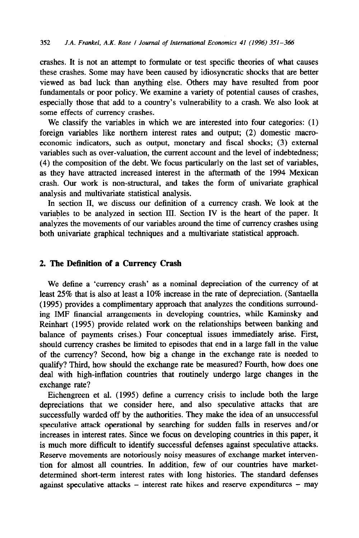crashes. It is not an attempt to formulate or test specific theories of what causes these crashes. Some may have been caused by idiosyncratic shocks that are better viewed as bad luck than anything else. Others may have resulted from poor fundamentals or poor policy. We examine a variety of potential causes of crashes, especially those that add to a country's vulnerability to a crash. We also look at some effects of currency crashes.

We classify the variables in which we are interested into four categories: (1) foreign variables like northern interest rates and output; (2) domestic macroeconomic indicators, such as output, monetary and fiscal shocks; (3) external variables such as over-valuation, the current account and the level of indebtedness; (4) the composition of the debt. We focus particularly on the last set of variables, as they have attracted increased interest in the aftermath of the 1994 Mexican crash. Our work is non-structural, and takes the form of univariate graphical analysis and multivariate statistical analysis.

In section II, we discuss our definition of a currency crash. We look at the variables to be analyzed in section III. Section IV is the heart of the paper. It analyzes the movements of our variables around the time of currency crashes using both univariate graphical techniques and a multivariate statistical approach.

# 2. The Definition of a Currency Crash

We define a 'currency crash' as a nominal depreciation of the currency of at least 25% that is also at least a 10% increase in the rate of depreciation. (Santaella (1995) provides a complimentary approach that analyzes the conditions surrounding IMF financial arrangements in developing countries, while Kaminsky and Reinhart (1995) provide related work on the relationships between banking and balance of payments crises.) Four conceptual issues immediately arise. First, should currency crashes be limited to episodes that end in a large fall in the value of the currency? Second, how big a change in the exchange rate is needed to qualify? Third, how should the exchange rate be measured? Fourth, how does one deal with high-inflation countries that routinely undergo large changes in the exchange rate?

Eichengreen et al. (1995) define a currency crisis to include both the large depreciations that we consider here, and also speculative attacks that are successfully warded off by the authorities. They make the idea of an unsuccessful speculative attack operational by searching for sudden falls in reserves and/or increases in interest rates. Since we focus on developing countries in this paper, it is much more difficult to identify successful defenses against speculative attacks. Reserve movements are notoriously noisy measures of exchange market intervention for almost all countries. In addition, few of our countries have marketdetermined short-term interest rates with long histories. The standard defenses against speculative attacks - interest rate hikes and reserve expenditures - may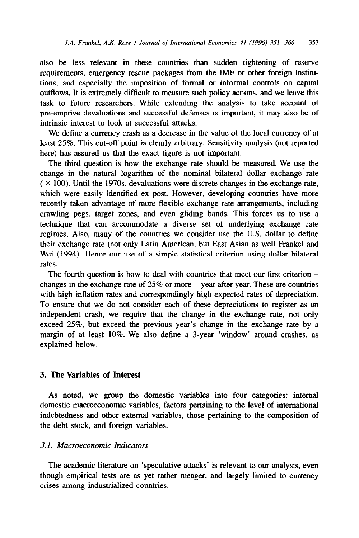also be less relevant in these countries than sudden tightening of reserve requirements, emergency rescue packages from the IMF or other foreign institutions, and especially the imposition of formal or informal controls on capital outflows. It is extremely difficult to measure such policy actions, and we leave this task to future researchers. While extending the analysis to take account of pre-emptive devaluations and successful defenses is important, it may also be of intrinsic interest to look at successful attacks.

We define a currency crash as a decrease in the value of the local currency of at least 25%. This cut-off point is clearly arbitrary. Sensitivity analysis (not reported here) has assured us that the exact figure is not important.

The third question is how the exchange rate should be measured. We use the change in the natural logarithm of the nominal bilateral dollar exchange rate  $(x 100)$ . Until the 1970s, devaluations were discrete changes in the exchange rate, which were easily identified ex post. However, developing countries have more recently taken advantage of more flexible exchange rate arrangements, including crawling pegs, target zones, and even gliding bands. This forces us to use a technique that can accommodate a diverse set of underlying exchange rate regimes. Also, many of the countries we consider use the U.S. dollar to define their exchange rate (not only Latin American, but East Asian as well Frankel and Wei (1994). Hence our use of a simple statistical criterion using dollar bilateral rates.

The fourth question is how to deal with countries that meet our first criterion – changes in the exchange rate of  $25\%$  or more  $-$  year after year. These are countries with high inflation rates and correspondingly high expected rates of depreciation. To ensure that we do not consider each of these depreciations to register as an independent crash, we require that the change in the exchange rate, not only exceed 25%, but exceed the previous year's change in the exchange rate by a margin of at least 10%. We also define a 3-year 'window' around crashes, as explained below.

# 3. The Variables of Interest

As noted, we group the domestic variables into four categories: internal domestic macroeconomic variables, factors pertaining to the level of international indebtedness and other external variables, those pertaining to the composition of the debt stock, and foreign variables.

## 3.1. Macroeconomic Indicators

The academic literature on 'speculative attacks' is relevant to our analysis, even though empirical tests are as yet rather meager, and largely limited to currency crises among industrialized countries.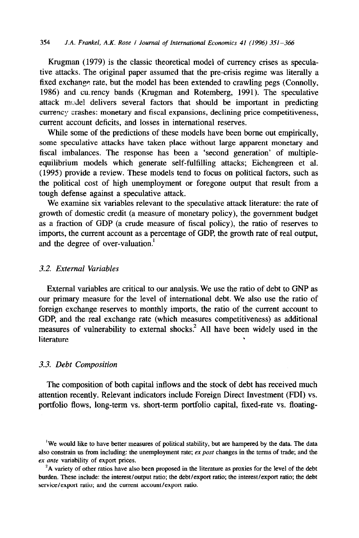Krugman (1979) is the classic theoretical model of currency crises as speculative attacks. The original paper assumed that the pre-crisis regime was literally a fixed exchange rate, but the model has been extended to crawling pegs (Connolly, 1986) and curency bands (Krugman and Rotemberg, 1991). The speculative attack model delivers several factors that should be important in predicting currency crashes: monetary and fiscal expansions, declining price competitiveness, current account deficits, and losses in international reserves.

While some of the predictions of these models have been borne out empirically, some speculative attacks have taken place without large apparent monetary and fiscal imbalances. The response has been a 'second generation' of multipleequilibrium models which generate self-fulfilling attacks; Eichengreen et al. (1995) provide a review. These models tend to focus on political factors, such as the political cost of high unemployment or foregone output that result from a tough defense against a speculative attack.

We examine six variables relevant to the speculative attack literature: the rate of growth of domestic credit (a measure of monetary policy), the government budget as a fraction of GDP (a crude measure of fiscal policy), the ratio of reserves to imports, the current account as a percentage of GDP, the growth rate of real output, and the degree of over-valuation.'

## 3.2. External Variables

External variables are critical to our analysis. We use the ratio of debt to GNP as our primary measure for the level of international debt. We also use the ratio of foreign exchange reserves to monthly imports, the ratio of the current account to GDP, and the real exchange rate (which measures competitiveness) as additional measures of vulnerability to external shocks.' All have been widely used in the literature . The contract of the contract of the contract of the contract of the contract of the contract of the contract of the contract of the contract of the contract of the contract of the contract of the contract of t

#### 3.3. Debt Composition

The composition of both capital inflows and the stock of debt has received much attention recently. Relevant indicators include Foreign Direct Investment (FDI) vs. portfolio flows, long-term vs. short-term portfolio capital, fixed-rate vs. floating-

<sup>&#</sup>x27; We would like to have better measures of political stability, but are hampered by the data. The data also constrain us from including: the unemployment rate; ex post changes in the terms of trade; and the ex ante variability of export prices.

 $A<sup>2</sup>A$  variety of other ratios have also been proposed in the literature as proxies for the level of the debt burden. These include: the interest/output ratio; the debt/export ratio; the interest/export ratio; the debt service/export ratio; and the current account/export ratio.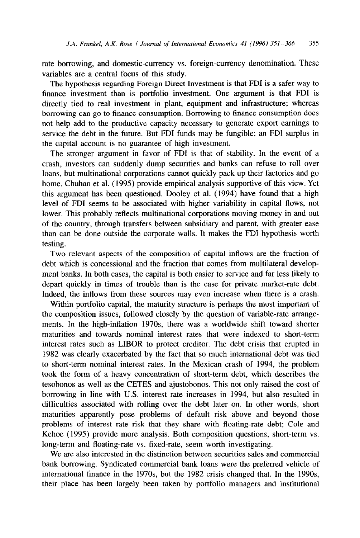rate borrowing, and domestic-currency vs. foreign-currency denomination. These variables are a central focus of this study.

The hypothesis regarding Foreign Direct Investment is that FDI is a safer way to finance investment than is portfolio investment. One argument is that FDI is directly tied to real investment in plant, equipment and infrastructure; whereas borrowing can go to finance consumption. Borrowing to finance consumption does not help add to the productive capacity necessary to generate export earnings to service the debt in the future. But FDI funds may be fungible; an FDI surplus in the capital account is no guarantee of high investment.

The stronger argument in favor of FDI is that of stability. In the event of a crash, investors can suddenly dump securities and banks can refuse to roll over loans, but multinational corporations cannot quickly pack up their factories and go home. Chuhan et al. (1995) provide empirical analysis supportive of this view. Yet this argument has been questioned. Dooley et al. (1994) have found that a high level of FDI seems to be associated with higher variability in capital flows, not lower. This probably reflects multinational corporations moving money in and out of the country, through transfers between subsidiary and parent, with greater ease than can be done outside the corporate walls. It makes the FDI hypothesis worth testing.

Two relevant aspects of the composition of capital inflows are the fraction of debt which is concessional and the fraction that comes from multilateral development banks. In both cases, the capital is both easier to service and far less likely to depart quickly in times of trouble than is the case for private market-rate debt. Indeed, the inflows from these sources may even increase when there is a crash.

Within portfolio capital, the maturity structure is perhaps the most important of the composition issues, followed closely by the question of variable-rate arrangements. In the high-inflation 1970s, there was a worldwide shift toward shorter maturities and towards nominal interest rates that were indexed to short-term interest rates such as LIBOR to protect creditor. The debt crisis that erupted in 1982 was clearly exacerbated by the fact that so much international debt was tied to short-term nominal interest rates. In the Mexican crash of 1994, the problem took the form of a heavy concentration of short-term debt, which describes the tesobonos as well as the CETES and ajustobonos. This not only raised the cost of borrowing in line with U.S. interest rate increases in 1994, but also resulted in difficulties associated with rolling over the debt later on. In other words, short maturities apparently pose problems of default risk above and beyond those problems of interest rate risk that they share with floating-rate debt; Cole and Kehoe (1995) provide more analysis. Both composition questions, short-term vs. long-term and floating-rate vs. fixed-rate, seem worth investigating.

We are also interested in the distinction between securities sales and commercial bank borrowing. Syndicated commercial bank loans were the preferred vehicle of international finance in the 197Os, but the 1982 crisis changed that. In the 1990s their place has been largely been taken by portfolio managers and institutional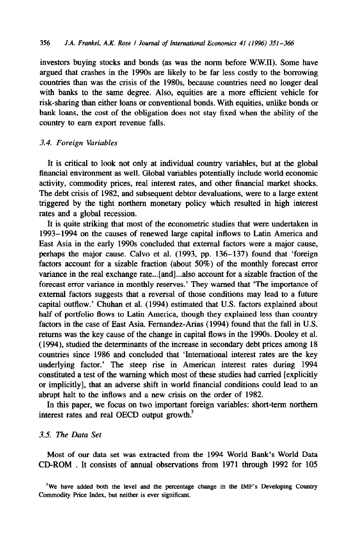investors buying stocks and bonds (as was the norm before W.W.11). Some have argued that crashes in the 1990s are likely to be far less costly to the borrowing countries than was the crisis of the 198Os, because countries need no longer deal with banks to the same degree. Also, equities are a more efficient vehicle for risk-sharing than either loans or conventional bonds. With equities, unlike bonds or bank loans, the cost of the obligation does not stay fixed when the ability of the country to earn export revenue falls.

## 3.4. Foreign Variables

It is critical to look not only at individual country variables, but at the global financial environment as well. Global variables potentially include world economic activity, commodity prices, real interest rates, and other financial market shocks. The debt crisis of 1982, and subsequent debtor devaluations, were to a large extent triggered by the tight northern monetary policy which resulted in high interest rates and a global recession.

It is quite striking that most of the econometric studies that were undertaken in 1993-1994 on the causes of renewed large capital inflows to Latin America and East Asia in the early 1990s concluded that external factors were a major cause, perhaps the major cause. Calvo et al. (1993, pp. 136-137) found that 'foreign factors account for a sizable fraction (about 50%) of the monthly forecast error variance in the real exchange rate...[and]...also account for a sizable fraction of the forecast error variance in monthly reserves.' They warned that 'The importance of external factors suggests that a reversal of those conditions may lead to a future capital outflow.' Chuhan et al. (1994) estimated that U.S. factors explained about half of portfolio flows to Latin America, though they explained less than country factors in the case of East Asia. Femandez-Arias (1994) found that the fall in U.S. returns was the key cause of the change in capital flows in the 1990s. Dooley et al. (1994), studied the determinants of the increase in secondary debt prices among 18 countries since 1986 and concluded that 'International interest rates are the key underlying factor.' The steep rise in American interest rates during 1994 constituted a test of the warning which most of these studies had carried [explicitly or implicitly], that an adverse shift in world financial conditions could lead to an abrupt halt to the inflows and a new crisis on the order of 1982.

In this paper, we focus on two important foreign variables: short-term northern interest rates and real OECD output growth.<sup>3</sup>

# 3.5. The Data Set

Most of our data set was extracted from the 1994 World Bank's World Data CD-ROM . It consists of annual observations from 1971 through 1992 for 105

<sup>&</sup>lt;sup>3</sup>We have added both the level and the percentage change in the IMF's Developing Country Commodity Price Index, but neither is ever significant.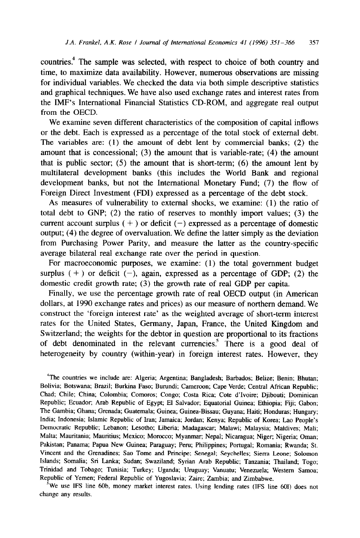countries.4 The sample was selected, with respect to choice of both country and time, to maximize data availability. However, numerous observations are missing for individual variables. We checked the data via both simple descriptive statistics and graphical techniques. We have also used exchange rates and interest rates from the IMF's International Financial Statistics CD-ROM, and aggregate real output from the OECD.

We examine seven different characteristics of the composition of capital inflows or the debt. Each is expressed as a percentage of the total stock of external debt. The variables are: (1) the amount of debt lent by commercial banks; (2) the amount that is concessional; (3) the amount that is variable-rate; (4) the amount that is public sector;  $(5)$  the amount that is short-term;  $(6)$  the amount lent by multilateral development banks (this includes the World Bank and regional development banks, but not the International Monetary Fund; (7) the flow of Foreign Direct Investment (FDI) expressed as a percentage of the debt stock.

As measures of vulnerability to external shocks, we examine: (1) the ratio of total debt to GNP; (2) the ratio of reserves to monthly import values; (3) the current account surplus  $(+)$  or deficit  $(-)$  expressed as a percentage of domestic output; (4) the degree of overvaluation. We define the latter simply as the deviation from Purchasing Power Parity, and measure the latter as the country-specific average bilateral real exchange rate over the period in question.

For macroeconomic purposes, we examine: (1) the total government budget surplus  $(+)$  or deficit  $(-)$ , again, expressed as a percentage of GDP; (2) the domestic credit growth rate; (3) the growth rate of real GDP per capita.

Finally, we use the percentage growth rate of real OECD output (in American dollars, at 1990 exchange rates and prices) as our measure of northern demand. We construct the 'foreign interest rate' as the weighted average of short-term interest rates for the United States, Germany, Japan, France, the United Kingdom and Switzerland; the weights for the debtor in question are proportional to its fractions of debt denominated in the relevant currencies.<sup>5</sup> There is a good deal of heterogeneity by country (within-year) in foreign interest rates. However, they

?he countries we include are: Algeria; Argentina; Bangladesh; Barbados; Belize; Benin; Bhutan; Bolivia; Botswana; Brazil; Burkina Faso; Burundi; Cameroon; Cape Verde; Central African Republic; Chad; Chile; China; Colombia; Comoros; Congo; Costa Rica: Cote d'Ivoire; Djibouti; Dominican Republic; Ecuador; Arab Republic of Egypt; El Salvador; Equatorial Guinea; Ethiopia; Fiji; Gabon; The Gambia; Ghana; Grenada; Guatemala; Guinea; Guinea-Bissau; Guyana; Haiti; Honduras; Hungary; India; Indonesia; Islamic Republic of Iran; Jamaica; Jordan; Kenya; Republic of Korea; Lao People's Democratic Republic; Lebanon: Lesotho; Liberia; Madagascar; Malawi; Malaysia; Maldives; Mali; Malta; Mauritania; Mauritius; Mexico; Morocco; Myanmar; Nepal; Nicaragua; Niger; Nigeria; Oman; Pakistan; Panama; Papua New Guinea; Paraguay; Peru; Philippines; Portugal; Romania; Rwanda; St. Vincent and the Grenadines; Sao Tome and Principe; Senegal; Seychelles; Sierra Leone; Solomon Islands; Somalia; Sri Lanka; Sudan; Swaziland; Syrian Arab Republic; Tanzania; Thailand; Togo; Trinidad and Tobago; Tunisia; Turkey; Uganda; Uruguay; Vanuatu; Venezuela; Western Samoa; Republic of Yemen; Federal Republic of Yugoslavia; Zaire; Zambia; and Zimbabwe.

 $5$ We use IFS line 60b, money market interest rates. Using lending rates (IFS line 601) does not change any results.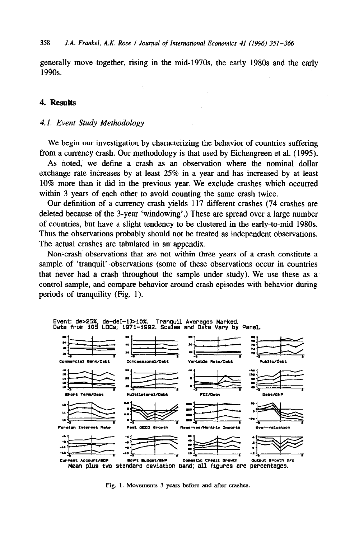generally move together, rising in the mid-1970s, the early 1980s and the early 1990s.

### 4. Results

### 4.1. Event Study Methodology

We begin our investigation by characterizing the behavior of countries suffering from a currency crash. Our methodology is that used by Eichengreen et al. (1995).

As noted, we define a crash as an observation where the nominal dollar exchange rate increases by at least 25% in a year and has increased by at least 10% more than it did in the previous year. We exclude crashes which occurred within 3 years of each other to avoid counting the same crash twice.

Our definition of a currency crash yields 117 different crashes (74 crashes are deleted because of the 3-year 'windowing'.) These are spread over a large number of countries, but have a slight tendency to be clustered in the early-to-mid 1980s. Thus the observations probably should not be treated as independent observations. The actual crashes are tabulated in an appendix.

Non-crash observations that are not within three years of a crash constitute a sample of 'tranquil' observations (some of these observations occur in countries that never had a crash throughout the sample under study). We use these as a control sample, and compare behavior around crash episodes with behavior during periods of tranquility (Fig. 1).



Event: de>25%, de-det-13~10%. Tranquil Averages Marked. Data from 105 LDCs, 1971-1992. Scales and Data Vary by Panel.

Fig. 1. Movements 3 years before and after crashes.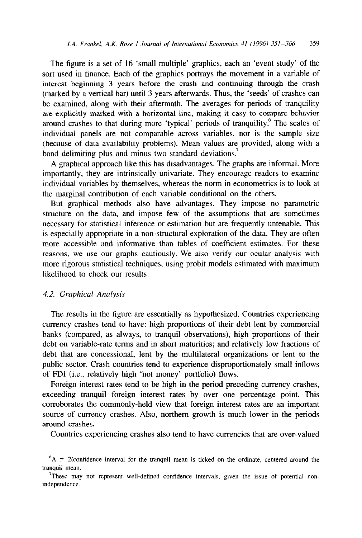The figure is a set of 16 'small multiple' graphics, each an 'event study' of the sort used in finance. Each of the graphics portrays the movement in a variable of interest beginning 3 years before the crash and continuing through the crash (marked by a vertical bar) until 3 years afterwards. Thus, the 'seeds' of crashes can be examined, along with their aftermath. The averages for periods of tranquility are explicitly marked with a horizontal line, making it easy to compare behavior around crashes to that during more 'typical' periods of tranquility.<sup>6</sup> The scales of individual panels are not comparable across variables, nor is the sample size (because of data availability problems). Mean values are provided, along with a band delimiting plus and minus two standard deviations.<sup>7</sup>

A graphical approach like this has disadvantages. The graphs are informal. More importantly, they are intrinsically univariate. They encourage readers to examine individual variables by themselves, whereas the norm in econometrics is to look at the marginal contribution of each variable conditional on the others.

But graphical methods also have advantages. They impose no parametric structure on the data, and impose few of the assumptions that are sometimes necessary for statistical inference or estimation but are frequently untenable. This is especially appropriate in a non-structural exploration of the data. They are often more accessible and informative than tables of coefficient estimates. For these reasons, we use our graphs cautiously. We also verify our ocular analysis with more rigorous statistical techniques, using probit models estimated with maximum likelihood to check our results.

### 4.2. Graphical Analysis

The results in the figure are essentially as hypothesized. Countries experiencing currency crashes tend to have: high proportions of their debt lent by commercial banks (compared, as always, to tranquil observations), high proportions of their debt on variable-rate terms and in short maturities; and relatively low fractions of debt that are concessional, lent by the multilateral organizations or lent to the public sector. Crash countries tend to experience disproportionately small inflows of FDI (i.e., relatively high 'hot money' portfolio) flows.

Foreign interest rates tend to be high in the period preceding currency crashes, exceeding tranquil foreign interest rates by over one percentage point. This corroborates the commonly-held view that foreign interest rates are an important source of currency crashes. Also, northern growth is much lower in the periods around crashes.

Countries experiencing crashes also tend to have currencies that are over-valued

 ${}^6A \pm 2$  (confidence interval for the tranquil mean is ticked on the ordinate, centered around the tranquil mean.

These may not represent well-defined confidence intervals, given the issue of potential nonindependence.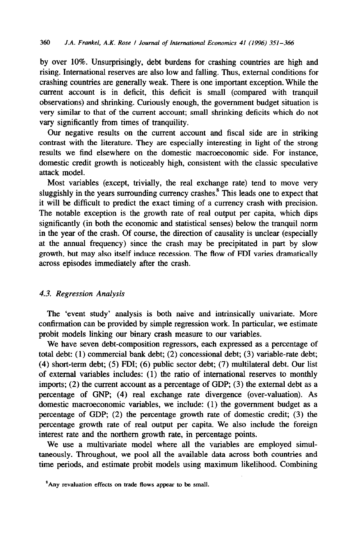by over 10%. Unsurprisingly, debt burdens for crashing countries are high and rising. International reserves are also low and falling. Thus, external conditions for crashing countries are generally weak. There is one important exception. While the current account is in deficit, this deficit is small (compared with tranquil observations) and shrinking. Curiously enough, the government budget situation is very similar to that of the current account; small shrinking deficits which do not vary significantly from times of tranquility.

Our negative results on the current account and fiscal side are in striking contrast with the literature. They are especially interesting in light of the strong results we find elsewhere on the domestic macroeconomic side. For instance, domestic credit growth is noticeably high, consistent with the classic speculative attack model.

Most variables (except, trivially, the real exchange rate) tend to move very sluggishly in the years surrounding currency crashes.8 This leads one to expect that it will be difficult to predict the exact timing of a currency crash with precision. The notable exception is the growth rate of real output per capita, which dips significantly (in both the economic and statistical senses) below the tranquil norm in the year of the crash. Of course, the direction of causality is unclear (especially at the annual frequency) since the crash may be precipitated in part by slow growth, but may also itself induce recession. The flow of FDI varies dramatically across episodes immediately after the crash.

# 4.3. Regression Analysis

The 'event study' analysis is both naive and intrinsically univariate. More confirmation can be provided by simple regression work. In particular, we estimate probit models linking our binary crash measure to our variables.

We have seven debt-composition regressors, each expressed as a percentage of total debt: (1) commercial bank debt; (2) concessional debt; (3) variable-rate debt; (4) short-term debt; (5) PDI; (6) public sector debt; (7) multilateral debt. Our list of external variables includes: (1) the ratio of international reserves to monthly imports; (2) the current account as a percentage of GDP, (3) the external debt as a percentage of GNP; (4) real exchange rate divergence (over-valuation). As domestic macroeconomic variables, we include: (1) the govemment budget as a percentage of GDP; (2) the percentage growth rate of domestic credit; (3) the percentage growth rate of real output per capita. We also include the foreign interest rate and the northern growth rate, in percentage points.

We use a multivariate model where all the variables are employed simultaneously. Throughout, we pool all the available data across both countries and time periods, and estimate probit models using maximum likelihood. Combining

<sup>\*</sup>Any revaluation effects on trade flows appear to be small.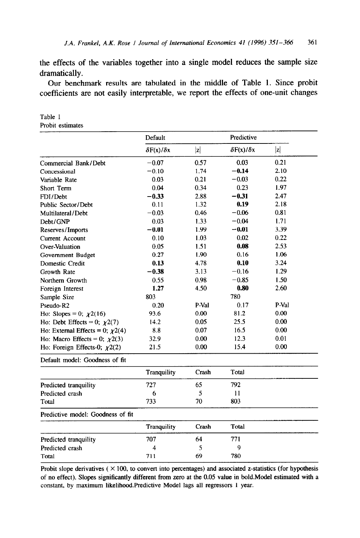the effects of the variables together into a single model reduces the sample size dramatically.

Our benchmark results are tabulated in the middle of Table 1. Since probit coefficients are not easily interpretable, we report the effects of one-unit changes

Table 1 Probit estimates

|                                       | Default                |       | Predictive             |       |
|---------------------------------------|------------------------|-------|------------------------|-------|
|                                       | $\delta F(x)/\delta x$ | z     | $\delta F(x)/\delta x$ | z     |
| Commercial Bank/Debt                  | $-0.07$                | 0.57  | 0.03                   | 0.21  |
| Concessional                          | $-0.10$                | 1.74  | $-0.14$                | 2.10  |
| Variable Rate                         | 0.03                   | 0.21  | $-0.03$                | 0.22  |
| Short Term                            | 0.04                   | 0.34  | 0.23                   | 1.97  |
| FDI/Debt                              | $-0.33$                | 2.88  | $-0.31$                | 2.47  |
| Public Sector/Debt                    | 0.11                   | 1.32  | 0.19                   | 2.18  |
| Multilateral/Debt                     | $-0.03$                | 0.46  | $-0.06$                | 0.81  |
| Debt/GNP                              | 0.03                   | 1.33  | $-0.04$                | 1.71  |
| Reserves/Imports                      | $-0.01$                | 1.99  | $-0.01$                | 3.39  |
| <b>Current Account</b>                | 0.10                   | 1.03  | 0.02                   | 0.22  |
| Over-Valuation                        | 0.05                   | 1.51  | 0.08                   | 2.53  |
| Government Budget                     | 0.27                   | 1.90  | 0.16                   | 1.06  |
| Domestic Credit                       | 0.13                   | 4.78  | 0.10                   | 3.24  |
| Growth Rate                           | $-0.38$                | 3.13  | $-0.16$                | 1.29  |
| Northern Growth                       | 0.55                   | 0.98  | $-0.85$                | 1.50  |
| Foreign Interest                      | 1.27                   | 4.50  | 0.80                   | 2.60  |
| Sample Size                           | 803                    |       | 780                    |       |
| Pseudo-R2                             | 0.20                   | P-Val | 0.17                   | P-Val |
| Ho: Slopes = 0; $\chi^2(16)$          | 93.6                   | 0.00  | 81.2                   | 0.00  |
| Ho: Debt Effects = 0; $\chi$ 2(7)     | 14.2                   | 0.05  | 25.5                   | 0.00  |
| Ho: External Effects = 0; $\chi$ 2(4) | 8.8                    | 0.07  | 16.5                   | 0.00  |
| Ho: Macro Effects = 0; $\chi$ 2(3)    | 32.9                   | 0.00  | 12.3                   | 0.01  |
| Ho: Foreign Effects-0; $\chi$ 2(2)    | 21.5                   | 0.00  | 15.4                   | 0.00  |
| Default model: Goodness of fit        |                        |       |                        |       |
|                                       | Tranquility            | Crash | Total                  |       |
| Predicted tranquility                 | 727                    | 65    | 792                    |       |
| Predicted crash                       | 6                      | 5     | 11                     |       |
| Total                                 | 733                    | 70    | 803                    |       |
| Predictive model: Goodness of fit     |                        |       |                        |       |
|                                       | Tranquility            | Crash | Total                  |       |
| Predicted tranquility                 | 707                    | 64    | 771                    |       |
| Predicted crash                       | 4                      | 5     | 9                      |       |
| Total                                 | 711                    | 69    | 780                    |       |

Probit slope derivatives  $(x 100, t0)$  convert into percentages) and associated z-statistics (for hypothesis of no effect). Slopes significantly different from zero at the 0.05 value in bold.Model estimated with a constant, by maximum likelihood.Predictive Model lags all regressors 1 year.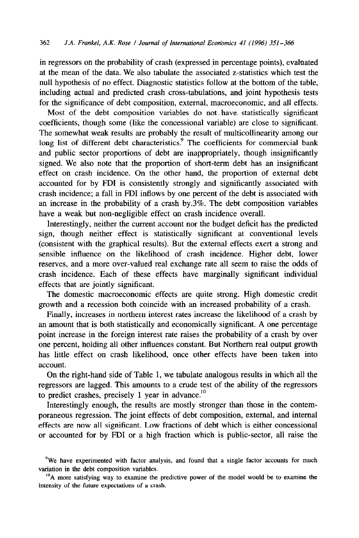in regressors on the probability of crash (expressed in percentage points), evaluated at the mean of the data. We also tabulate the associated z-statistics which test the null hypothesis of no effect. Diagnostic statistics follow at the bottom of the table, including actual and predicted crash cross-tabulations, and joint hypothesis tests for the significance of debt composition, external, macroeconomic, and all effects.

Most of the debt composition variables do not. have. statistically significant coefficients, though some (like the concessional variable) are close to significant. The somewhat weak results are probably the result of multicollinearity among our long list of different debt characteristics.<sup>9</sup> The coefficients for commercial bank and public sector proportions of debt are inappropriately, though insignificantly signed. We also note that the proportion of short-term debt has an insignificant effect on crash incidence. On the other hand, the proportion of external debt accounted for by FDI is consistently strongly and significantly associated with crash incidence; a fall in FDI inflows by one percent of the debt is associated with an increase in the probability of a crash by.3%. The debt composition variables have a weak but non-negligible effect on crash incidence overall.

Interestingly, neither the current account nor the budget deficit has the predicted sign, though neither effect is statistically significant at conventional levels (consistent with the graphical results). But the external effects exert a strong and sensible influence on the likelihood of crash incidence. Higher debt, lower reserves, and a more over-valued real exchange rate all seem to raise the odds of crash incidence. Each of these effects have marginally significant individual effects that are jointly significant.

The domestic macroeconomic effects are quite strong. High domestic credit growth and a recession both coincide with an increased probability of a crash.

Finally, increases in northern interest rates increase the likelihood of a crash by an amount that is both statistically and economically significant. A one percentage point increase in the foreign interest rate raises the probability of a crash by over one percent, holding all other influences constant. But Northern real output growth has little effect on crash likelihood, once other effects have been taken into account.

On the right-hand side of Table 1, we tabulate analogous results in which all the regressors are lagged. This amounts to a crude test of the ability of the regressors to predict crashes, precisely 1 year in advance.<sup>10</sup>

Interestingly enough, the results are mostly stronger than those in the contemporaneous regression. The joint effects of debt composition, external, and internal effects are now all significant. Low fractions of debt which is either concessional or accounted for by FDI or a high fraction which is public-sector, all raise the

<sup>&</sup>lt;sup>9</sup>We have experimented with factor analysis, and found that a single factor accounts for much variation in the debt composition variables.

<sup>&</sup>lt;sup>10</sup>A more satisfying way to examine the predictive power of the model would be to examine the intensity of the future expectations of a crash.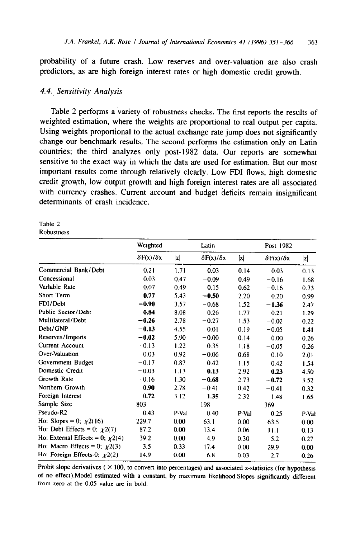probability of a future crash. Low reserves and over-valuation are also crash predictors, as are high foreign interest rates or high domestic credit growth.

### 4.4. Sensitivity Analysis

Table 2 performs a variety of robustness checks. The first reports the results of weighted estimation, where the weights are proportional to real output per capita. Using weights proportional to the actual exchange rate jump does not significantly change our benchmark results, The second performs the estimation only on Latin countries; the third analyzes only post-1982 data. Our reports are somewhat sensitive to the exact way in which the data are used for estimation. But our most important results come through relatively clearly. Low FDI flows, high domestic credit growth, low output growth and high foreign interest rates are all associated with currency crashes. Current account and budget deficits remain insignificant determinants of crash incidence.

Table 2

Robustness

|                                       | Weighted               |       | Latin                  |       | Post 1982              |       |
|---------------------------------------|------------------------|-------|------------------------|-------|------------------------|-------|
|                                       | $\delta F(x)/\delta x$ | z     | $\delta F(x)/\delta x$ | z     | $\delta F(x)/\delta x$ | z     |
| Commercial Bank/Debt                  | 0.21                   | 1.71  | 0.03                   | 0.14  | 0.03                   | 0.13  |
| Concessional                          | 0.03                   | 0.47  | $-0.09$                | 0.49  | $-0.16$                | 1.68  |
| Varlable Rate                         | 0.07                   | 0.49  | 0.15                   | 0.62  | $-0.16$                | 0.73  |
| Short Term                            | 0.77                   | 5.43  | $-0.50$                | 2.20  | 0.20                   | 0.99  |
| FDI/Debt                              | $-0.90$                | 3.57  | $-0.68$                | 1.52  | $-1.36$                | 2.47  |
| Public Sector/Debt                    | 0.84                   | 8.08  | 0.26                   | 1.77  | 0.21                   | 1.29  |
| Multilateral/Debt                     | $-0.26$                | 2.78  | $-0.27$                | 1.53  | $-0.02$                | 0.22  |
| Debt/GNP                              | $-0.13$                | 4.55  | $-0.01$                | 0.19  | $-0.05$                | 1.41  |
| Reserves/Imports                      | $-0.02$                | 5.90  | $-0.00$                | 0.14  | $-0.00$                | 0.26  |
| Current Account                       | $-0.13$                | 1.22  | 0.35                   | 1.18  | $-0.05$                | 0.26  |
| Over-Valuation                        | 0.03                   | 0.92  | $-0.06$                | 0.68  | 0.10                   | 2.01  |
| Government Budget                     | $-0.17$                | 0.87  | 0.42                   | 1.15  | 0.42                   | 1.54  |
| Domestic Credit                       | $-0.03$                | 1.13  | 0.13                   | 2.92  | 0.23                   | 4.50  |
| Growth Rate                           | $-0.16$                | 1.30  | $-0.68$                | 2.73  | $-0.72$                | 3.52  |
| Northern Growth                       | 0.90                   | 2.78  | $-0.41$                | 0.42  | $-0.41$                | 0.32  |
| Foreign Interest                      | 0.72                   | 3.12  | 1.35                   | 2.32  | 1.48                   | 1.65  |
| Sample Size                           | 803                    |       | 198                    |       | 369                    |       |
| Pseudo-R2                             | 0.43                   | P-Val | 0.40                   | P-Val | 0.25                   | P-Val |
| Ho: Slopes = 0; $\chi$ 2(16)          | 229.7                  | 0.00  | 63.1                   | 0.00  | 63.5                   | 0.00  |
| Ho: Debt Effects = 0; $\chi$ 2(7)     | 87.2                   | 0.00  | 13.4                   | 0.06  | 11.1                   | 0.13  |
| Ho: External Effects = 0; $\chi$ 2(4) | 39.2                   | 0.00  | 4.9                    | 0.30  | 5.2                    | 0.27  |
| Ho: Macro Effects = 0; $\chi$ 2(3)    | 3.5                    | 0.33  | 17.4                   | 0.00  | 29.9                   | 0.00  |
| Ho: Foreign Effects-0; $\chi^2(2)$    | 14.9                   | 0.00  | 6.8                    | 0.03  | 2.7                    | 0.26  |

Probit slope derivatives ( $\times$  100, to convert into percentages) and associated z-statistics (for hypothesis of no effect). Model estimated with a constant, by maximum likelihood. Slopes significantly different from zero at the 0.05 value are in bold.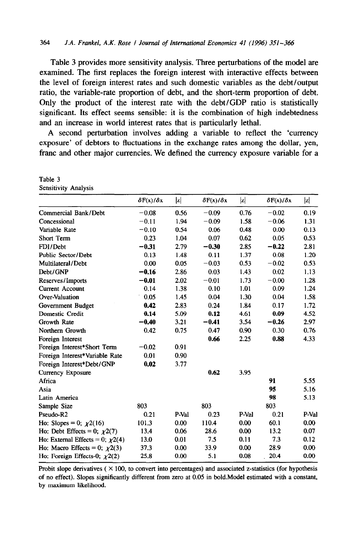Table 3 provides more sensitivity analysis. Three perturbations of the model are examined. The first replaces the foreign interest with interactive effects between the level of foreign interest rates and such domestic variables as the debt/output ratio, the variable-rate proportion of debt, and the short-term proportion of debt. Only the product of the interest rate with the debt/GDP ratio is statistically significant. Its effect seems sensible: it is the combination of high indebtedness and an increase in world interest rates that is particularly lethal.

A second perturbation involves adding a variable to reflect the 'currency exposure' of debtors to fluctuations in the exchange rates among the dollar, yen, franc and other major currencies. We defined the currency exposure variable for a

| $\delta F(x)/\delta x$ | z     | $\delta F(x)/\delta x$ | z     | $\delta F(x)/\delta x$ | $\vert z \vert$ |
|------------------------|-------|------------------------|-------|------------------------|-----------------|
| $-0.08$                | 0.56  | $-0.09$                | 0.76  | $-0.02$                | 0.19            |
| $-0.11$                | 1.94  | $-0.09$                | 1.58  | $-0.06$                | 1.31            |
| $-0.10$                | 0.54  | 0.06                   | 0.48  | 0.00                   | 0.13            |
| 0.23                   | 1.04  | 0.07                   | 0.62  | 0.05                   | 0.53            |
| $-0.31$                | 2.79  | $-0.30$                | 2.85  | $-0.22$                | 2.81            |
| 0.13                   | 1.48  | 0.11                   | 1.37  | 0.08                   | 1.20            |
| 0.00                   | 0.05  | $-0.03$                | 0.53  | $-0.02$                | 0.53            |
| $-0.16$                | 2.86  | 0.03                   | 1.43  | 0.02                   | 1.13            |
| $-0.01$                | 2.02  | $-0.01$                | 1.73  | $-0.00$                | 1.28            |
| 0.14                   | 1.38  | 0.10                   | 1.01  | 0.09                   | 1.24            |
| 0.05                   | 1.45  | 0.04                   | 1.30  | 0.04                   | 1.58            |
| 0.42                   | 2.83  | 0.24                   | 1.84  | 0.17                   | 1.72            |
| 0.14                   | 5.09  | 0.12                   | 4.61  | 0.09                   | 4.52            |
| $-0.40$                | 3.21  | $-0.41$                | 3.54  | $-0.26$                | 2.97            |
| 0.42                   | 0.75  | 0.47                   | 0.90  | 0.30                   | 0.76            |
|                        |       | 0.66                   | 2.25  | 0.88                   | 4.33            |
| $-0.02$                | 0.91  |                        |       |                        |                 |
| 0.01                   | 0.90  |                        |       |                        |                 |
| 0.02                   | 3.77  |                        |       |                        |                 |
|                        |       | 0.62                   | 3.95  |                        |                 |
|                        |       |                        |       | 91                     | 5.55            |
|                        |       |                        |       | 95                     | 5.16            |
|                        |       |                        |       | 98                     | 5.13            |
| 803                    |       | 803                    |       | 803                    |                 |
| 0.21                   | P-Val | 0.23                   | P-Val | 0.21                   | P-Val           |
| 101.3                  | 0.00  | 110.4                  | 0.00  | 60.1                   | 0.00            |
| 13.4                   | 0.06  | 28.6                   | 0.00  | 13.2                   | 0.07            |
| 13.0                   | 0.01  | 7.5                    | 0.11  | 7.3                    | 0.12            |
| 37.3                   | 0.00  | 33.9                   | 0.00  | 28.9                   | 0.00            |
| 25.8                   | 0.00  | 5.1                    | 0.08  | 20.4                   | 0.00            |
|                        |       |                        |       |                        |                 |

Table 3 Sensitivity Analysis

Probit slope derivatives  $(x 100, t0)$  convert into percentages) and associated z-statistics (for hypothesis of no effect). Slopes significantly different from zero at 0.05 in bold.Model estimated with a constant, by maximum likelihood.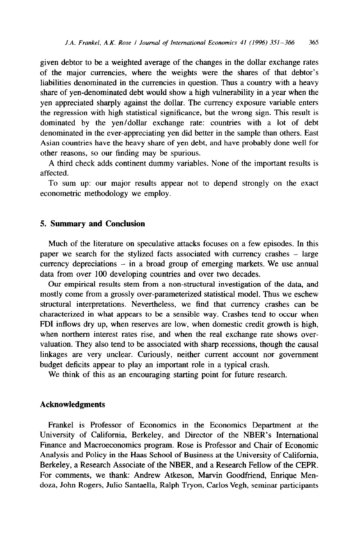given debtor to be a weighted average of the changes in the dollar exchange rates of the major currencies, where the weights were the shares of that debtor's liabilities denominated in the currencies in question. Thus a country with a heavy share of yen-denominated debt would show a high vulnerability in a year when the yen appreciated sharply against the dollar. The currency exposure variable enters the regression with high statistical significance, but the wrong sign. This result is dominated by the yen/dollar exchange rate: countries with a lot of debt denominated in the ever-appreciating yen did better in the sample than others. East Asian countries have the heavy share of yen debt, and have probably done well for other reasons, so our finding may be spurious.

A third check adds continent dummy variables. None of the important results is affected.

To sum up: our major results appear not to depend strongly on the exact econometric methodology we employ.

### 5. Summary and Conclusion

Much of the literature on speculative attacks focuses on a few episodes. In this paper we search for the stylized facts associated with currency crashes - large currency depreciations  $-$  in a broad group of emerging markets. We use annual data from over 100 developing countries and over two decades.

Our empirical results stem from a non-structural investigation of the data, and mostly come from a grossly over-parameterized statistical model. Thus we eschew structural interpretations. Nevertheless, we find that currency crashes can be characterized in what appears to be a sensible way. Crashes tend to occur when FDI inflows dry up, when reserves are low, when domestic credit growth is high, when northern interest rates rise, and when the real exchange rate shows overvaluation. They also tend to be associated with sharp recessions, though the causal linkages are very unclear. Curiously, neither current account nor government budget deficits appear to play an important role in a typical crash.

We think of this as an encouraging starting point for future research.

### Acknowledgments

Frankel is Professor of Economics in the Economics Department at the University of California, Berkeley, and Director of the NBER's International Finance and Macroeconomics program. Rose is Professor and Chair of Economic Analysis and Policy in the Haas School of Business at the University of California, Berkeley, a Research Associate of the NBER, and a Research Fellow of the CEPR. For comments, we thank: Andrew Atkeson, Marvin Goodfriend, Enrique Mendoza, John Rogers, Julio Santaella, Ralph Tryon, Carlos Vegh, seminar participants